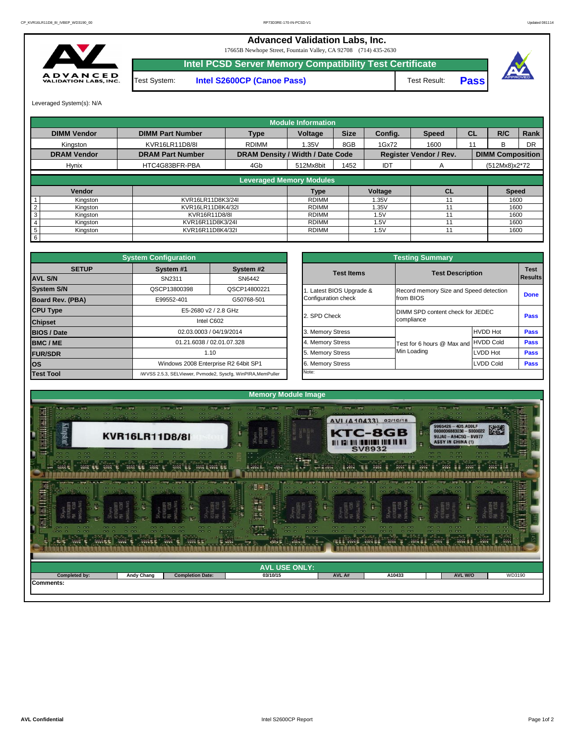| <b>AVL USE ONLY:</b><br>WD3190<br>AVL A#<br><b>AVL W/O</b><br><b>Completed by:</b><br><b>Andy Chang</b><br><b>Completion Date:</b><br>03/10/15<br>A10433<br>Comments: | <b>Secret</b> | <b>Sec.</b><br>実現電話 | <b>Service</b><br><b>Read East</b> | <b><i>CANADA</i></b><br><b>C</b> SWE<br><b>Time</b><br><b>ANY D</b><br><b>Times</b> St | <b>TANK</b> | <b>WW SE</b><br><b>Time</b> | <b>From</b><br><b>Territo</b><br><b>Aves</b> | <b>State</b> |  |  |  |  |
|-----------------------------------------------------------------------------------------------------------------------------------------------------------------------|---------------|---------------------|------------------------------------|----------------------------------------------------------------------------------------|-------------|-----------------------------|----------------------------------------------|--------------|--|--|--|--|
|                                                                                                                                                                       |               |                     |                                    |                                                                                        |             |                             |                                              |              |  |  |  |  |
|                                                                                                                                                                       |               |                     |                                    |                                                                                        |             |                             |                                              |              |  |  |  |  |
|                                                                                                                                                                       |               |                     |                                    |                                                                                        |             |                             |                                              |              |  |  |  |  |



| <b>nfiguration</b>    |                                                     |                          | <b>Testing Summary</b>                 |                  |  |
|-----------------------|-----------------------------------------------------|--------------------------|----------------------------------------|------------------|--|
| System #2<br>vstem #1 |                                                     | <b>Test Items</b>        | <b>Test Description</b>                |                  |  |
| SN2311                | SN6442                                              |                          |                                        |                  |  |
| CP13800398            | QSCP14800221                                        | 1. Latest BIOS Upgrade & | Record memory Size and Speed detection |                  |  |
| 99552-401             | G50768-501                                          | Configuration check      | from BIOS                              |                  |  |
|                       | E5-2680 v2 / 2.8 GHz                                |                          | DIMM SPD content check for JEDEC       |                  |  |
|                       | Intel C602                                          | 2. SPD Check             | compliance                             |                  |  |
|                       | 02.03.0003 / 04/19/2014                             | 3. Memory Stress         |                                        | <b>HVDD Hot</b>  |  |
|                       | 01.21.6038 / 02.01.07.328                           | 4. Memory Stress         | Test for 6 hours @ Max and             | <b>HVDD Cold</b> |  |
|                       | 1.10                                                | 5. Memory Stress         | Min Loading                            | LVDD Hot         |  |
|                       | Vindows 2008 Enterprise R2 64bit SP1                | 6. Memory Stress         |                                        | <b>LVDD Cold</b> |  |
|                       | 5.3, SELViewer, Pvmode2, Syscfg, WinPIRA, MemPuller | Note:                    |                                        |                  |  |

|                         | <b>System Configuration</b> |                                                             | <b>Testing Summary</b> |                       |                                      |                                              |  |  |
|-------------------------|-----------------------------|-------------------------------------------------------------|------------------------|-----------------------|--------------------------------------|----------------------------------------------|--|--|
| <b>SETUP</b>            | System #1<br>System #2      |                                                             |                        | <b>Test Items</b>     | <b>Test Description</b>              |                                              |  |  |
| <b>AVL S/N</b>          | SN2311                      | SN6442                                                      |                        |                       |                                      |                                              |  |  |
| <b>System S/N</b>       | QSCP13800398                | QSCP14800221                                                |                        | Latest BIOS Upgrade & |                                      | <b>Record memory Size and Speed detectic</b> |  |  |
| <b>Board Rev. (PBA)</b> | E99552-401                  | G50768-501                                                  |                        | Configuration check   | from BIOS                            |                                              |  |  |
| <b>CPU Type</b>         |                             | E5-2680 v2 / 2.8 GHz                                        | 2. SPD Check           |                       |                                      | DIMM SPD content check for JEDEC             |  |  |
| <b>Chipset</b>          |                             | Intel C602                                                  |                        |                       | compliance                           |                                              |  |  |
| <b>BIOS / Date</b>      |                             | 02.03.0003 / 04/19/2014                                     |                        | 3. Memory Stress      |                                      | <b>HVDD Hot</b>                              |  |  |
| <b>BMC/ME</b>           |                             | 01.21.6038 / 02.01.07.328                                   |                        | 4. Memory Stress      | Test for 6 hours @ Max and HVDD Cold |                                              |  |  |
| <b>FUR/SDR</b>          |                             | 1.10                                                        |                        | 5. Memory Stress      | Min Loading                          | <b>LVDD Hot</b>                              |  |  |
| <b>los</b>              |                             | Windows 2008 Enterprise R2 64bit SP1                        |                        | 6. Memory Stress      |                                      | <b>LVDD Cold</b>                             |  |  |
| <b>Test Tool</b>        |                             | iWVSS 2.5.3, SELViewer, Pvmode2, Syscfg, WinPIRA, MemPuller |                        | Note:                 |                                      |                                              |  |  |

|                 |                                                              |                                                                    |                                 | <b>Module Information</b> |             |            |                               |           |                         |              |
|-----------------|--------------------------------------------------------------|--------------------------------------------------------------------|---------------------------------|---------------------------|-------------|------------|-------------------------------|-----------|-------------------------|--------------|
|                 | <b>DIMM Vendor</b><br><b>DIMM Part Number</b><br><b>Type</b> |                                                                    |                                 |                           | <b>Size</b> | Config.    | <b>Speed</b>                  | <b>CL</b> | R/C                     | Rank         |
|                 | Kingston                                                     | KVR16LR11D8/8I                                                     | <b>RDIMM</b>                    |                           |             | 1Gx72      | 1600                          |           | B.                      | <b>DR</b>    |
|                 | <b>DRAM Vendor</b>                                           | <b>DRAM Density / Width / Date Code</b><br><b>DRAM Part Number</b> |                                 |                           |             |            | <b>Register Vendor / Rev.</b> |           | <b>DIMM Composition</b> |              |
|                 | HTC4G83BFR-PBA<br><b>Hynix</b><br>4Gb                        |                                                                    |                                 | 512Mx8bit                 | 1452        | <b>IDT</b> | $\mathsf{A}$                  |           | $(512Mx8)x2*72$         |              |
|                 |                                                              |                                                                    | <b>Leveraged Memory Modules</b> |                           |             |            |                               |           |                         |              |
|                 |                                                              |                                                                    |                                 |                           |             |            |                               |           |                         |              |
|                 | Vendor                                                       |                                                                    |                                 | Type                      |             | Voltage    | <b>CL</b>                     |           |                         | <b>Speed</b> |
|                 | Kingston                                                     | KVR16LR11D8K3/24I                                                  |                                 | <b>RDIMM</b>              |             | 1.35V      |                               |           |                         | 1600         |
|                 | Kingston                                                     | KVR16LR11D8K4/32I                                                  |                                 |                           |             | 1.35V      |                               |           |                         | 1600         |
| 3               | Kingston                                                     | KVR16R11D8/8I                                                      | <b>RDIMM</b>                    |                           | 1.5V        |            |                               |           | 1600                    |              |
|                 | Kingston                                                     | KVR16R11D8K3/24I                                                   | RDIMM                           |                           | 1.5V        |            |                               |           | 1600                    |              |
| $5\phantom{.0}$ | Kingston                                                     | KVR16R11D8K4/32I                                                   |                                 |                           |             | 1.5V       |                               |           |                         | 1600         |
| 6               |                                                              |                                                                    |                                 |                           |             |            |                               |           |                         |              |

17665B Newhope Street, Fountain Valley, CA 92708 (714) 435-2630



Test System: **Intel S2600CP (Canoe Pass)** Test Result: **Pass Intel PCSD Server Memory Compatibility Test Certificate**



Leveraged System(s): N/A

## **Advanced Validation Labs, Inc.**